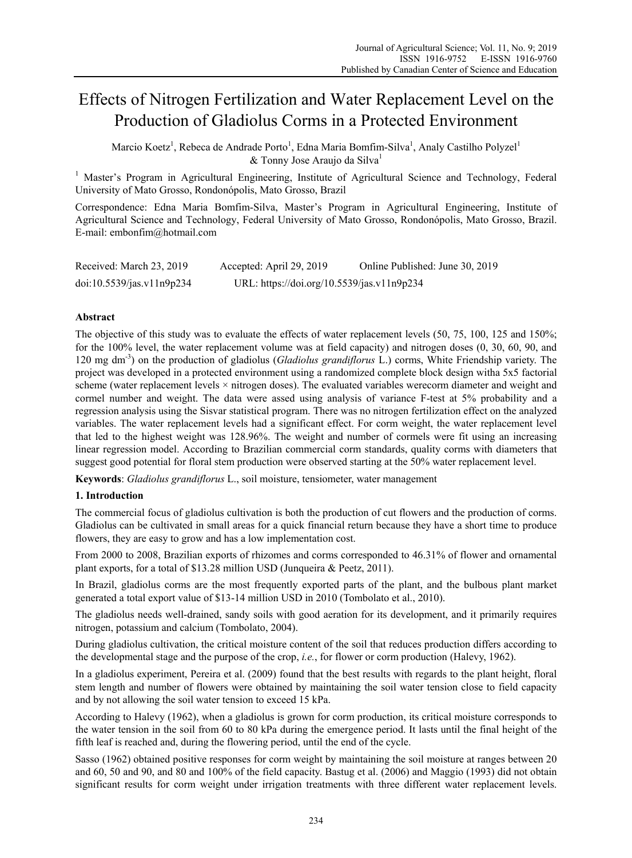# Effects of Nitrogen Fertilization and Water Replacement Level on the Production of Gladiolus Corms in a Protected Environment

Marcio Koetz<sup>1</sup>, Rebeca de Andrade Porto<sup>1</sup>, Edna Maria Bomfim-Silva<sup>1</sup>, Analy Castilho Polyzel<sup>1</sup>  $&$  Tonny Jose Araujo da Silva<sup>1</sup>

<sup>1</sup> Master's Program in Agricultural Engineering, Institute of Agricultural Science and Technology, Federal University of Mato Grosso, Rondonópolis, Mato Grosso, Brazil

Correspondence: Edna Maria Bomfim-Silva, Master's Program in Agricultural Engineering, Institute of Agricultural Science and Technology, Federal University of Mato Grosso, Rondonópolis, Mato Grosso, Brazil. E-mail: embonfim@hotmail.com

| Received: March 23, 2019  | Accepted: April 29, 2019                   | Online Published: June 30, 2019 |
|---------------------------|--------------------------------------------|---------------------------------|
| doi:10.5539/jas.v11n9p234 | URL: https://doi.org/10.5539/jas.v11n9p234 |                                 |

## **Abstract**

The objective of this study was to evaluate the effects of water replacement levels (50, 75, 100, 125 and 150%; for the 100% level, the water replacement volume was at field capacity) and nitrogen doses (0, 30, 60, 90, and 120 mg dm-3) on the production of gladiolus (*Gladiolus grandiflorus* L.) corms, White Friendship variety. The project was developed in a protected environment using a randomized complete block design witha 5x5 factorial scheme (water replacement levels  $\times$  nitrogen doses). The evaluated variables werecorm diameter and weight and cormel number and weight. The data were assed using analysis of variance F-test at 5% probability and a regression analysis using the Sisvar statistical program. There was no nitrogen fertilization effect on the analyzed variables. The water replacement levels had a significant effect. For corm weight, the water replacement level that led to the highest weight was 128.96%. The weight and number of cormels were fit using an increasing linear regression model. According to Brazilian commercial corm standards, quality corms with diameters that suggest good potential for floral stem production were observed starting at the 50% water replacement level.

**Keywords**: *Gladiolus grandiflorus* L., soil moisture, tensiometer, water management

## **1. Introduction**

The commercial focus of gladiolus cultivation is both the production of cut flowers and the production of corms. Gladiolus can be cultivated in small areas for a quick financial return because they have a short time to produce flowers, they are easy to grow and has a low implementation cost.

From 2000 to 2008, Brazilian exports of rhizomes and corms corresponded to 46.31% of flower and ornamental plant exports, for a total of \$13.28 million USD (Junqueira & Peetz, 2011).

In Brazil, gladiolus corms are the most frequently exported parts of the plant, and the bulbous plant market generated a total export value of \$13-14 million USD in 2010 (Tombolato et al., 2010).

The gladiolus needs well-drained, sandy soils with good aeration for its development, and it primarily requires nitrogen, potassium and calcium (Tombolato, 2004).

During gladiolus cultivation, the critical moisture content of the soil that reduces production differs according to the developmental stage and the purpose of the crop, *i.e.*, for flower or corm production (Halevy, 1962).

In a gladiolus experiment, Pereira et al. (2009) found that the best results with regards to the plant height, floral stem length and number of flowers were obtained by maintaining the soil water tension close to field capacity and by not allowing the soil water tension to exceed 15 kPa.

According to Halevy (1962), when a gladiolus is grown for corm production, its critical moisture corresponds to the water tension in the soil from 60 to 80 kPa during the emergence period. It lasts until the final height of the fifth leaf is reached and, during the flowering period, until the end of the cycle.

Sasso (1962) obtained positive responses for corm weight by maintaining the soil moisture at ranges between 20 and 60, 50 and 90, and 80 and 100% of the field capacity. Bastug et al. (2006) and Maggio (1993) did not obtain significant results for corm weight under irrigation treatments with three different water replacement levels.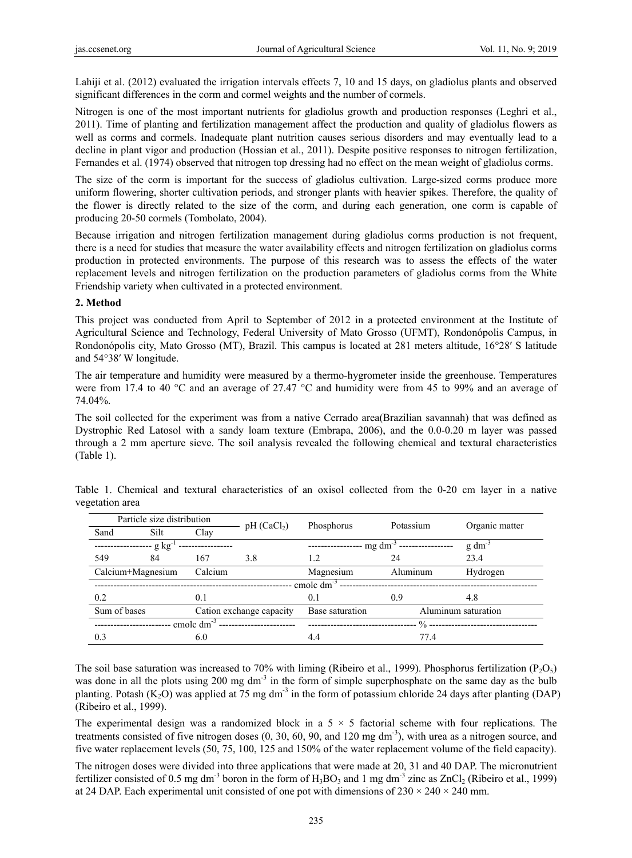Lahiji et al. (2012) evaluated the irrigation intervals effects 7, 10 and 15 days, on gladiolus plants and observed significant differences in the corm and cormel weights and the number of cormels.

Nitrogen is one of the most important nutrients for gladiolus growth and production responses (Leghri et al., 2011). Time of planting and fertilization management affect the production and quality of gladiolus flowers as well as corms and cormels. Inadequate plant nutrition causes serious disorders and may eventually lead to a decline in plant vigor and production (Hossian et al., 2011). Despite positive responses to nitrogen fertilization, Fernandes et al. (1974) observed that nitrogen top dressing had no effect on the mean weight of gladiolus corms.

The size of the corm is important for the success of gladiolus cultivation. Large-sized corms produce more uniform flowering, shorter cultivation periods, and stronger plants with heavier spikes. Therefore, the quality of the flower is directly related to the size of the corm, and during each generation, one corm is capable of producing 20-50 cormels (Tombolato, 2004).

Because irrigation and nitrogen fertilization management during gladiolus corms production is not frequent, there is a need for studies that measure the water availability effects and nitrogen fertilization on gladiolus corms production in protected environments. The purpose of this research was to assess the effects of the water replacement levels and nitrogen fertilization on the production parameters of gladiolus corms from the White Friendship variety when cultivated in a protected environment.

## **2. Method**

This project was conducted from April to September of 2012 in a protected environment at the Institute of Agricultural Science and Technology, Federal University of Mato Grosso (UFMT), Rondonópolis Campus, in Rondonópolis city, Mato Grosso (MT), Brazil. This campus is located at 281 meters altitude, 16°28′ S latitude and 54°38′ W longitude.

The air temperature and humidity were measured by a thermo-hygrometer inside the greenhouse. Temperatures were from 17.4 to 40 °C and an average of 27.47 °C and humidity were from 45 to 99% and an average of 74.04%.

The soil collected for the experiment was from a native Cerrado area(Brazilian savannah) that was defined as Dystrophic Red Latosol with a sandy loam texture (Embrapa, 2006), and the 0.0-0.20 m layer was passed through a 2 mm aperture sieve. The soil analysis revealed the following chemical and textural characteristics (Table 1).

|              | Particle size distribution |                 | pH (CaCl <sub>2</sub> )  | Phosphorus      | Potassium                   | Organic matter      |
|--------------|----------------------------|-----------------|--------------------------|-----------------|-----------------------------|---------------------|
| Sand         | Silt                       | Clay            |                          |                 |                             |                     |
|              | $\cdot$ g kg <sup>-1</sup> |                 |                          |                 | $-$ mg dm <sup>-3</sup> --- | $g \, dm^{-1}$      |
| 549          | 84                         | 167             | 3.8                      | 1.2             | 24                          | 23.4                |
|              | Calcium+Magnesium          | Calcium         |                          | Magnesium       | Aluminum                    | Hydrogen            |
|              |                            |                 |                          | cmole $dm^{-3}$ |                             |                     |
| 0.2          |                            | 0.1             |                          | 0.1             | 0.9                         | 4.8                 |
| Sum of bases |                            |                 | Cation exchange capacity | Base saturation |                             | Aluminum saturation |
|              |                            | cmole $dm^{-3}$ |                          |                 | $\frac{0}{0}$ -             |                     |
| 0.3          |                            | 6.0             |                          | 4.4             | 77.4                        |                     |

Table 1. Chemical and textural characteristics of an oxisol collected from the 0-20 cm layer in a native vegetation area

The soil base saturation was increased to 70% with liming (Ribeiro et al., 1999). Phosphorus fertilization ( $P_2O_5$ ) was done in all the plots using 200 mg dm<sup>-3</sup> in the form of simple superphosphate on the same day as the bulb planting. Potash  $(K_2O)$  was applied at 75 mg dm<sup>-3</sup> in the form of potassium chloride 24 days after planting (DAP) (Ribeiro et al., 1999).

The experimental design was a randomized block in a  $5 \times 5$  factorial scheme with four replications. The treatments consisted of five nitrogen doses  $(0, 30, 60, 90,$  and  $120 \text{ mg dm}^{-3})$ , with urea as a nitrogen source, and five water replacement levels (50, 75, 100, 125 and 150% of the water replacement volume of the field capacity).

The nitrogen doses were divided into three applications that were made at 20, 31 and 40 DAP. The micronutrient fertilizer consisted of 0.5 mg dm<sup>-3</sup> boron in the form of  $H_3BO_3$  and 1 mg dm<sup>-3</sup> zinc as  $ZnCl_2$  (Ribeiro et al., 1999) at 24 DAP. Each experimental unit consisted of one pot with dimensions of  $230 \times 240 \times 240$  mm.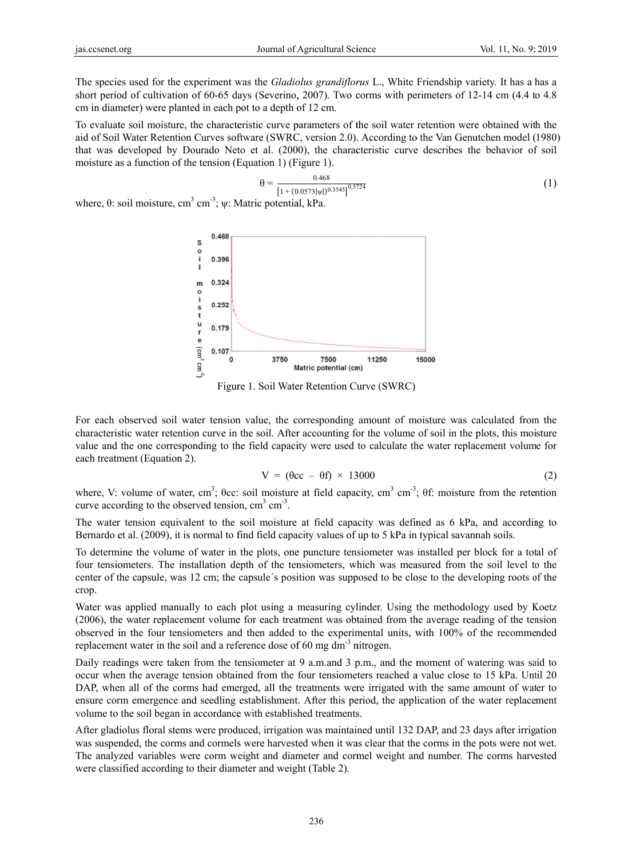The species used for the experiment was the *Gladiolus grandiflorus* L., White Friendship variety. It has a has a short period of cultivation of 60-65 days (Severino, 2007). Two corms with perimeters of 12-14 cm (4.4 to 4.8 cm in diameter) were planted in each pot to a depth of 12 cm.

To evaluate soil moisture, the characteristic curve parameters of the soil water retention were obtained with the aid of Soil Water Retention Curves software (SWRC, version 2.0). According to the Van Genutchen model (1980) that was developed by Dourado Neto et al. (2000), the characteristic curve describes the behavior of soil moisture as a function of the tension (Equation 1) (Figure 1).

$$
\theta = \frac{0.468}{[1 + (0.0573|\psi|)^{0.3545}]^{0.5724}}
$$
(1)

where,  $\theta$ : soil moisture, cm<sup>3</sup> cm<sup>-3</sup>;  $\psi$ : Matric potential, kPa.



Figure 1. Soil Water Retention Curve (SWRC)

For each observed soil water tension value, the corresponding amount of moisture was calculated from the characteristic water retention curve in the soil. After accounting for the volume of soil in the plots, this moisture value and the one corresponding to the field capacity were used to calculate the water replacement volume for each treatment (Equation 2).

$$
V = (\theta cc - \theta f) \times 13000 \tag{2}
$$

where, V: volume of water, cm<sup>3</sup>;  $\theta$ cc: soil moisture at field capacity, cm<sup>3</sup> cm<sup>3</sup>;  $\theta$ f: moisture from the retention curve according to the observed tension,  $cm<sup>3</sup> cm<sup>-3</sup>$ .

The water tension equivalent to the soil moisture at field capacity was defined as 6 kPa, and according to Bernardo et al. (2009), it is normal to find field capacity values of up to 5 kPa in typical savannah soils.

To determine the volume of water in the plots, one puncture tensiometer was installed per block for a total of four tensiometers. The installation depth of the tensiometers, which was measured from the soil level to the center of the capsule, was 12 cm; the capsule's position was supposed to be close to the developing roots of the crop.

Water was applied manually to each plot using a measuring cylinder. Using the methodology used by Koetz (2006), the water replacement volume for each treatment was obtained from the average reading of the tension observed in the four tensiometers and then added to the experimental units, with 100% of the recommended replacement water in the soil and a reference dose of 60 mg  $dm^{-3}$  nitrogen.

Daily readings were taken from the tensiometer at 9 a.m.and 3 p.m., and the moment of watering was said to occur when the average tension obtained from the four tensiometers reached a value close to 15 kPa. Until 20 DAP, when all of the corms had emerged, all the treatments were irrigated with the same amount of water to ensure corm emergence and seedling establishment. After this period, the application of the water replacement volume to the soil began in accordance with established treatments.

After gladiolus floral stems were produced, irrigation was maintained until 132 DAP, and 23 days after irrigation was suspended, the corms and cormels were harvested when it was clear that the corms in the pots were not wet. The analyzed variables were corm weight and diameter and cormel weight and number. The corms harvested were classified according to their diameter and weight (Table 2).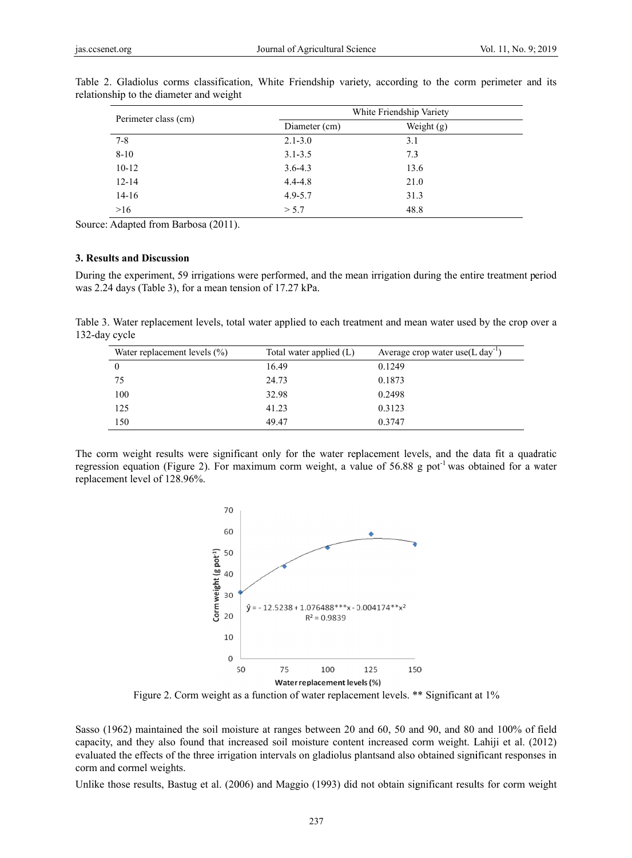| Perimeter class (cm) | White Friendship Variety |              |  |
|----------------------|--------------------------|--------------|--|
|                      | Diameter (cm)            | Weight $(g)$ |  |
| $7 - 8$              | $2.1 - 3.0$              | 3.1          |  |
| $8 - 10$             | $3.1 - 3.5$              | 7.3          |  |
| $10-12$              | $3.6 - 4.3$              | 13.6         |  |
| $12 - 14$            | $4.4 - 4.8$              | 21.0         |  |
| $14 - 16$            | $4.9 - 5.7$              | 31.3         |  |
| >16                  | > 5.7                    | 48.8         |  |

Table 2. Gladiolus corms classification, White Friendship variety, according to the corm perimeter and its relationship to the diameter and weight

Source: Adapted from Barbosa (2011).

### 3. Results and Discussion

During the experiment, 59 irrigations were performed, and the mean irrigation during the entire treatment period was 2.24 days (Table 3), for a mean tension of 17.27 kPa.

Table 3. Water replacement levels, total water applied to each treatment and mean water used by the crop over a 132-day cycle

| Water replacement levels $(\% )$ | Total water applied $(L)$ | Average crop water use $(L \, \text{day}^{-1})$ |
|----------------------------------|---------------------------|-------------------------------------------------|
| $\theta$                         | 16.49                     | 0.1249                                          |
| 75                               | 24.73                     | 0.1873                                          |
| 100                              | 32.98                     | 0.2498                                          |
| 125                              | 41.23                     | 0.3123                                          |
| 150                              | 49.47                     | 0.3747                                          |

The corm weight results were significant only for the water replacement levels, and the data fit a quadratic regression equation (Figure 2). For maximum corm weight, a value of 56.88 g pot<sup>-1</sup> was obtained for a water replacement level of 128.96%.



Figure 2. Corm weight as a function of water replacement levels. \*\* Significant at 1%

Sasso (1962) maintained the soil moisture at ranges between 20 and 60, 50 and 90, and 80 and 100% of field capacity, and they also found that increased soil moisture content increased corm weight. Lahiji et al. (2012) evaluated the effects of the three irrigation intervals on gladiolus plants and also obtained significant responses in corm and cormel weights.

Unlike those results, Bastug et al. (2006) and Maggio (1993) did not obtain significant results for corm weight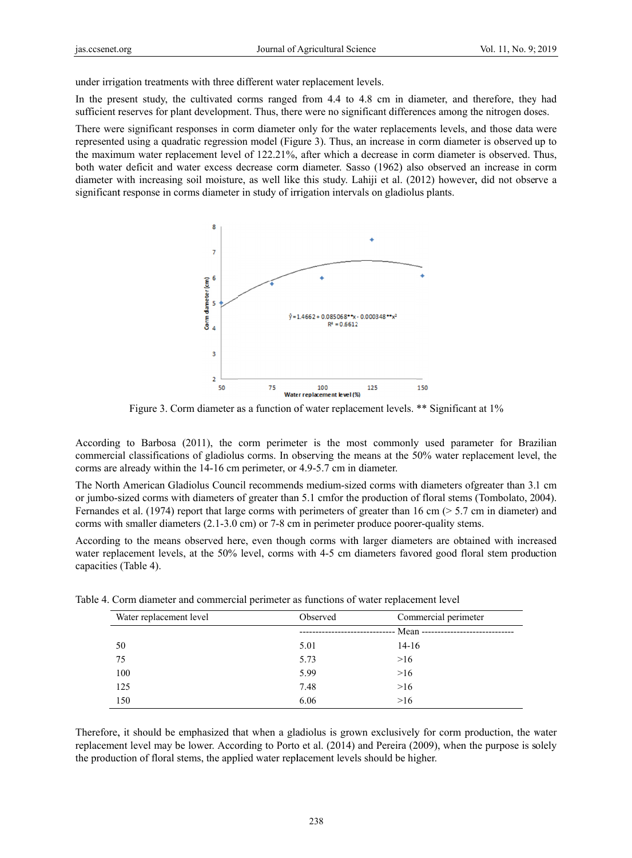under irrigation treatments with three different water replacement levels.

In the present study, the cultivated corms ranged from 4.4 to 4.8 cm in diameter, and therefore, they had sufficient reserves for plant development. Thus, there were no significant differences among the nitrogen doses.

There were significant responses in corm diameter only for the water replacements levels, and those data were represented using a quadratic regression model (Figure 3). Thus, an increase in corm diameter is observed up to the maximum water replacement level of 122.21%, after which a decrease in corm diameter is observed. Thus, both water deficit and water excess decrease corm diameter. Sasso (1962) also observed an increase in corm diameter with increasing soil moisture, as well like this study. Lahiji et al. (2012) however, did not observe a significant response in corms diameter in study of irrigation intervals on gladiolus plants.



Figure 3. Corm diameter as a function of water replacement levels. \*\* Significant at 1%

According to Barbosa (2011), the corm perimeter is the most commonly used parameter for Brazilian commercial classifications of gladiolus corms. In observing the means at the 50% water replacement level, the corms are already within the 14-16 cm perimeter, or 4.9-5.7 cm in diameter.

The North American Gladiolus Council recommends medium-sized corms with diameters ofgreater than 3.1 cm or jumbo-sized corms with diameters of greater than 5.1 cmfor the production of floral stems (Tombolato, 2004). Fernandes et al. (1974) report that large corms with perimeters of greater than 16 cm ( $> 5.7$  cm in diameter) and corms with smaller diameters  $(2.1\n-3.0 \text{ cm})$  or 7-8 cm in perimeter produce poorer-quality stems.

According to the means observed here, even though corms with larger diameters are obtained with increased water replacement levels, at the 50% level, corms with 4-5 cm diameters favored good floral stem production capacities (Table 4).

| Water replacement level | Observed | Commercial perimeter              |
|-------------------------|----------|-----------------------------------|
|                         |          | -- Mean ------------------------- |
| 50                      | 5.01     | $14-16$                           |
| 75                      | 5.73     | >16                               |
| 100                     | 5.99     | >16                               |
| 125                     | 7.48     | >16                               |
| 150                     | 6.06     | >16                               |

Table 4. Corm diameter and commercial perimeter as functions of water replacement level

replacement level may be lower. According to Porto et al. (2014) and Pereira (2009), when the purpose is solely the production of floral stems, the applied water replacement levels should be higher.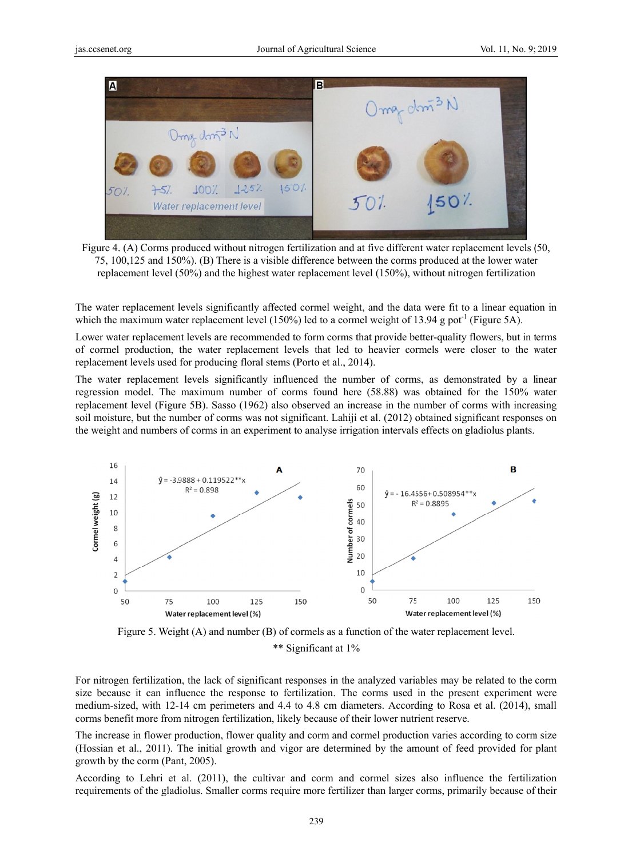

Figure 4. (A) Corms produced without nitrogen fertilization and at five different water replacement levels (50, 75, 100, 125 and 150%). (B) There is a visible difference between the corms produced at the lower water replacement level (50%) and the highest water replacement level (150%), without nitrogen fertilization

The water replacement levels significantly affected cormel weight, and the data were fit to a linear equation in which the maximum water replacement level (150%) led to a cormel weight of 13.94 g pot<sup>-1</sup> (Figure 5A).

Lower water replacement levels are recommended to form corms that provide better-quality flowers, but in terms of cormel production, the water replacement levels that led to heavier cormels were closer to the water replacement levels used for producing floral stems (Porto et al., 2014).

The water replacement levels significantly influenced the number of corms, as demonstrated by a linear regression model. The maximum number of corms found here (58.88) was obtained for the 150% water replacement level (Figure 5B). Sasso (1962) also observed an increase in the number of corms with increasing soil moisture, but the number of corms was not significant. Lahiji et al. (2012) obtained significant responses on the weight and numbers of corms in an experiment to analyse irrigation intervals effects on gladiolus plants.





For nitrogen fertilization, the lack of significant responses in the analyzed variables may be related to the corm size because it can influence the response to fertilization. The corms used in the present experiment were medium-sized, with 12-14 cm perimeters and 4.4 to 4.8 cm diameters. According to Rosa et al. (2014), small corms benefit more from nitrogen fertilization, likely because of their lower nutrient reserve.

The increase in flower production, flower quality and corm and cormel production varies according to corm size (Hossian et al., 2011). The initial growth and vigor are determined by the amount of feed provided for plant growth by the corm (Pant, 2005).

According to Lehri et al. (2011), the cultivar and corm and cormel sizes also influence the fertilization requirements of the gladiolus. Smaller corms require more fertilizer than larger corms, primarily because of their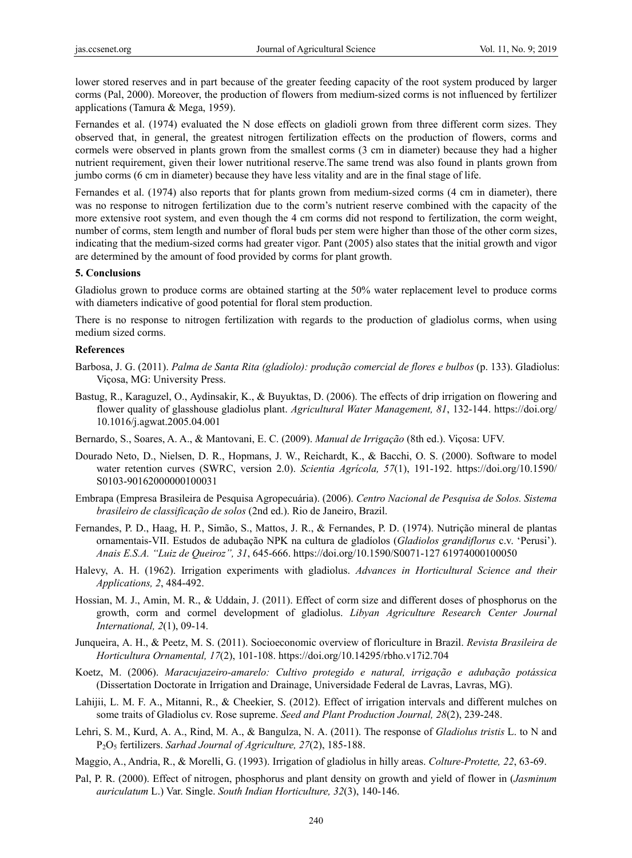lower stored reserves and in part because of the greater feeding capacity of the root system produced by larger corms (Pal, 2000). Moreover, the production of flowers from medium-sized corms is not influenced by fertilizer applications (Tamura & Mega, 1959).

Fernandes et al. (1974) evaluated the N dose effects on gladioli grown from three different corm sizes. They observed that, in general, the greatest nitrogen fertilization effects on the production of flowers, corms and cormels were observed in plants grown from the smallest corms (3 cm in diameter) because they had a higher nutrient requirement, given their lower nutritional reserve.The same trend was also found in plants grown from jumbo corms (6 cm in diameter) because they have less vitality and are in the final stage of life.

Fernandes et al. (1974) also reports that for plants grown from medium-sized corms (4 cm in diameter), there was no response to nitrogen fertilization due to the corm's nutrient reserve combined with the capacity of the more extensive root system, and even though the 4 cm corms did not respond to fertilization, the corm weight, number of corms, stem length and number of floral buds per stem were higher than those of the other corm sizes, indicating that the medium-sized corms had greater vigor. Pant (2005) also states that the initial growth and vigor are determined by the amount of food provided by corms for plant growth.

#### **5. Conclusions**

Gladiolus grown to produce corms are obtained starting at the 50% water replacement level to produce corms with diameters indicative of good potential for floral stem production.

There is no response to nitrogen fertilization with regards to the production of gladiolus corms, when using medium sized corms.

#### **References**

- Barbosa, J. G. (2011). *Palma de Santa Rita (gladíolo): produção comercial de flores e bulbos* (p. 133). Gladiolus: Viçosa, MG: University Press.
- Bastug, R., Karaguzel, O., Aydinsakir, K., & Buyuktas, D. (2006). The effects of drip irrigation on flowering and flower quality of glasshouse gladiolus plant. *Agricultural Water Management, 81*, 132-144. https://doi.org/ 10.1016/j.agwat.2005.04.001
- Bernardo, S., Soares, A. A., & Mantovani, E. C. (2009). *Manual de Irrigação* (8th ed.). Viçosa: UFV.
- Dourado Neto, D., Nielsen, D. R., Hopmans, J. W., Reichardt, K., & Bacchi, O. S. (2000). Software to model water retention curves (SWRC, version 2.0). *Scientia Agrícola, 57*(1), 191-192. https://doi.org/10.1590/ S0103-90162000000100031
- Embrapa (Empresa Brasileira de Pesquisa Agropecuária). (2006). *Centro Nacional de Pesquisa de Solos. Sistema brasileiro de classificação de solos* (2nd ed.). Rio de Janeiro, Brazil.
- Fernandes, P. D., Haag, H. P., Simão, S., Mattos, J. R., & Fernandes, P. D. (1974). Nutrição mineral de plantas ornamentais-VII. Estudos de adubação NPK na cultura de gladíolos (*Gladiolos grandiflorus* c.v. 'Perusi'). *Anais E.S.A. "Luiz de Queiroz", 31*, 645-666. https://doi.org/10.1590/S0071-127 61974000100050
- Halevy, A. H. (1962). Irrigation experiments with gladiolus. *Advances in Horticultural Science and their Applications, 2*, 484-492.
- Hossian, M. J., Amin, M. R., & Uddain, J. (2011). Effect of corm size and different doses of phosphorus on the growth, corm and cormel development of gladiolus. *Libyan Agriculture Research Center Journal International, 2*(1), 09-14.
- Junqueira, A. H., & Peetz, M. S. (2011). Socioeconomic overview of floriculture in Brazil. *Revista Brasileira de Horticultura Ornamental, 17*(2), 101-108. https://doi.org/10.14295/rbho.v17i2.704
- Koetz, M. (2006). *Maracujazeiro-amarelo: Cultivo protegido e natural, irrigação e adubação potássica* (Dissertation Doctorate in Irrigation and Drainage, Universidade Federal de Lavras, Lavras, MG).
- Lahijii, L. M. F. A., Mitanni, R., & Cheekier, S. (2012). Effect of irrigation intervals and different mulches on some traits of Gladiolus cv. Rose supreme. *Seed and Plant Production Journal, 28*(2), 239-248.
- Lehri, S. M., Kurd, A. A., Rind, M. A., & Bangulza, N. A. (2011). The response of *Gladiolus tristis* L. to N and P2O5 fertilizers. *Sarhad Journal of Agriculture, 27*(2), 185-188.
- Maggio, A., Andria, R., & Morelli, G. (1993). Irrigation of gladiolus in hilly areas. *Colture-Protette, 22*, 63-69.
- Pal, P. R. (2000). Effect of nitrogen, phosphorus and plant density on growth and yield of flower in (*Jasminum auriculatum* L.) Var. Single. *South Indian Horticulture, 32*(3), 140-146.